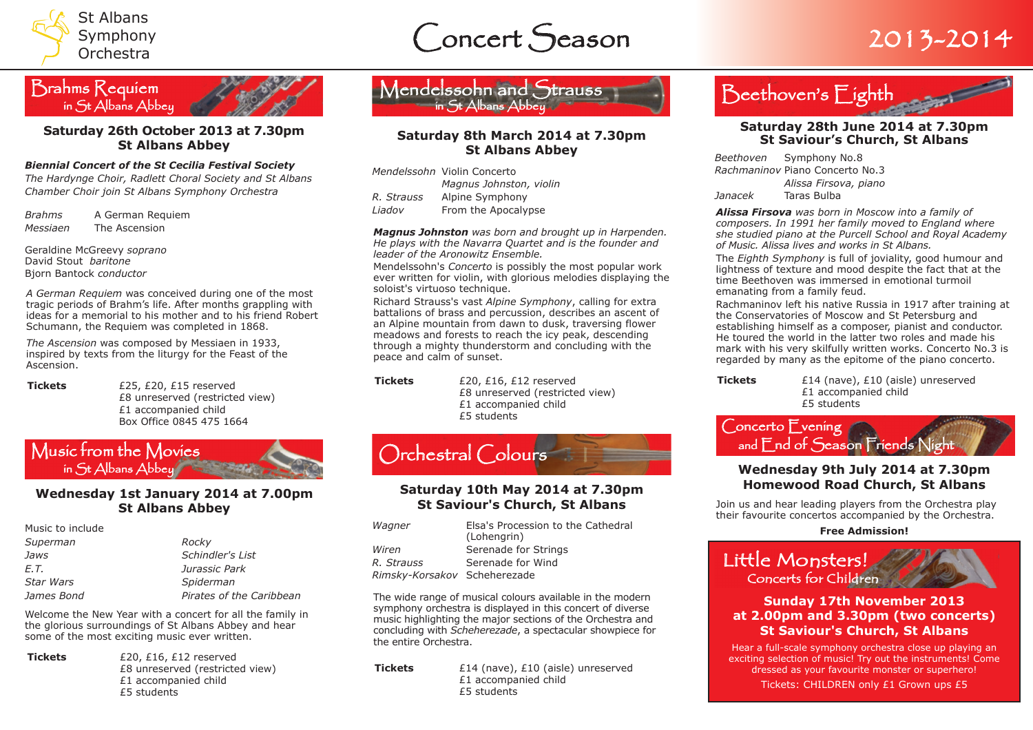









#### *Biennial Concert of the St Cecilia Festival Society*

*The Hardynge Choir, Radlett Choral Society and St Albans Chamber Choir join St Albans Symphony Orchestra*

*Brahms* A German Requiem *Messiaen* The Ascension

Geraldine McGreevy *soprano* David Stout *baritone* Bjorn Bantock *conductor*

*A German Requiem* was conceived during one of the most tragic periods of Brahm's life. After months grappling with ideas for a memorial to his mother and to his friend Robert Schumann, the Requiem was completed in 1868.

*The Ascension* was composed by Messiaen in 1933, inspired by texts from the liturgy for the Feast of the Ascension.

**Tickets** £25, £20, £15 reserved £8 unreserved (restricted view) £1 accompanied child Box Office 0845 475 1664



### **Wednesday 1st January 2014 at 7.00pm St Albans Abbey**

| Music to include |                          |
|------------------|--------------------------|
| Superman         | Rocky                    |
| Jaws             | Schindler's List         |
| E.T.             | Jurassic Park            |
| <b>Star Wars</b> | Spiderman                |
| James Bond       | Pirates of the Caribbean |

Welcome the New Year with a concert for all the family in the glorious surroundings of St Albans Abbey and hear some of the most exciting music ever written.

**Tickets** £20, £16, £12 reserved

£8 unreserved (restricted view) £1 accompanied child £5 students



### **Saturday 8th March 2014 at 7.30pm St Albans Abbey**

|            | Mendelssohn Violin Concerto |
|------------|-----------------------------|
|            | Magnus Johnston, violin     |
| R. Strauss | Alpine Symphony             |
| Liadov     | From the Apocalypse         |

*Magnus Johnston was born and brought up in Harpenden. He plays with the Navarra Quartet and is the founder and leader of the Aronowitz Ensemble.*

Mendelssohn's *Concerto* is possibly the most popular work ever written for violin, with glorious melodies displaying the soloist's virtuoso technique.

Richard Strauss's vast *Alpine Symphony*, calling for extra battalions of brass and percussion, describes an ascent of an Alpine mountain from dawn to dusk, traversing flower meadows and forests to reach the icy peak, descending through a mighty thunderstorm and concluding with the peace and calm of sunset.

**Tickets** £20, £16, £12 reserved £8 unreserved (restricted view) £1 accompanied child £5 students



### **Saturday 10th May 2014 at 7.30pm St Saviour's Church, St Albans**

| Wagner                       | Elsa's Procession to the Cathedral<br>(Lohengrin) |
|------------------------------|---------------------------------------------------|
| Wiren                        | Serenade for Strings                              |
| R. Strauss                   | Serenade for Wind                                 |
| Rimsky-Korsakov Scheherezade |                                                   |

The wide range of musical colours available in the modern symphony orchestra is displayed in this concert of diverse music highlighting the major sections of the Orchestra and concluding with *Scheherezade*, a spectacular showpiece for the entire Orchestra.

**Tickets**  $£14$  (nave), £10 (aisle) unreserved £1 accompanied child £5 students



### **St Saviour's Church, St Albans**

*Beethoven* Symphony No.8 *Rachmaninov* Piano Concerto No.3 *Alissa Firsova, piano Janacek* Taras Bulba

*Alissa Firsova was born in Moscow into a family of composers. In 1991 her family moved to England where she studied piano at the Purcell School and Royal Academy of Music. Alissa lives and works in St Albans.*

The *Eighth Symphony* is full of joviality, good humour and lightness of texture and mood despite the fact that at the time Beethoven was immersed in emotional turmoil emanating from a family feud.

Rachmaninov left his native Russia in 1917 after training at the Conservatories of Moscow and St Petersburg and establishing himself as a composer, pianist and conductor. He toured the world in the latter two roles and made his mark with his very skilfully written works. Concerto No.3 is regarded by many as the epitome of the piano concerto.

**Tickets**  $£14$  (nave), £10 (aisle) unreserved £1 accompanied child £5 students



## **Homewood Road Church, St Albans**

Join us and hear leading players from the Orchestra play their favourite concertos accompanied by the Orchestra.

**Free Admission!**

Little Monsters!

### **Sunday 17th November 2013 at 2.00pm and 3.30pm (two concerts) St Saviour's Church, St Albans**

Hear a full-scale symphony orchestra close up playing an exciting selection of music! Try out the instruments! Come dressed as your favourite monster or superhero! Tickets: CHILDREN only £1 Grown ups £5